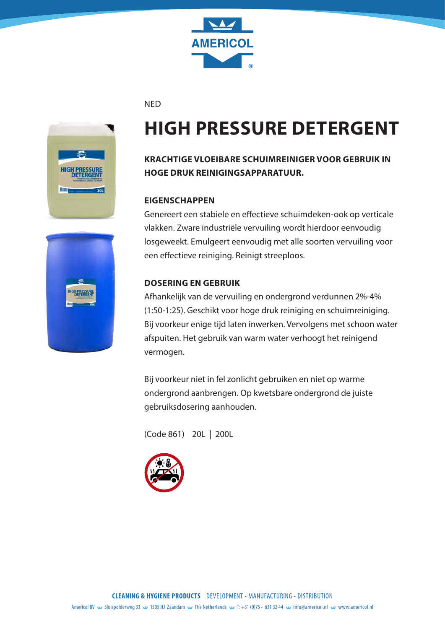

**NED** 



# **HIGH PRESSURE DETERGENT**

## **KRACHTIGE VLOEIBARE SCHUIMREINIGER VOOR GEBRUIK IN HOGE DRUK REINIGINGSAPPARATUUR.**

#### **EIGENSCHAPPEN**

Genereert een stabiele en effectieve schuimdeken-ook op verticale vlakken. Zware industriële vervuiling wordt hierdoor eenvoudig losgeweekt. Emulgeert eenvoudig met alle soorten vervuiling voor een effectieve reiniging. Reinigt streeploos.

#### **DOSERING EN GEBRUIK**

Afhankelijk van de vervuiling en ondergrond verdunnen 2%-4% (1:50-1:25). Geschikt voor hoge druk reiniging en schuimreiniging. Bij voorkeur enige tijd laten inwerken. Vervolgens met schoon water afspuiten. Het gebruik van warm water verhoogt het reinigend vermogen.

Bij voorkeur niet in fel zonlicht gebruiken en niet op warme ondergrond aanbrengen. Op kwetsbare ondergrond de juiste gebruiksdosering aanhouden.



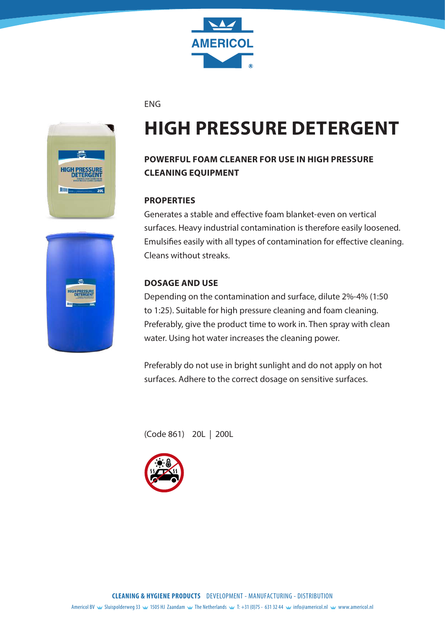

#### ENG



## **HIGH PRESSURE DETERGENT**

## **POWERFUL FOAM CLEANER FOR USE IN HIGH PRESSURE CLEANING EQUIPMENT**

#### **PROPERTIES**

Generates a stable and effective foam blanket-even on vertical surfaces. Heavy industrial contamination is therefore easily loosened. Emulsifies easily with all types of contamination for effective cleaning. Cleans without streaks.

#### **DOSAGE AND USE**

Depending on the contamination and surface, dilute 2%-4% (1:50 to 1:25). Suitable for high pressure cleaning and foam cleaning. Preferably, give the product time to work in. Then spray with clean water. Using hot water increases the cleaning power.

Preferably do not use in bright sunlight and do not apply on hot surfaces. Adhere to the correct dosage on sensitive surfaces.



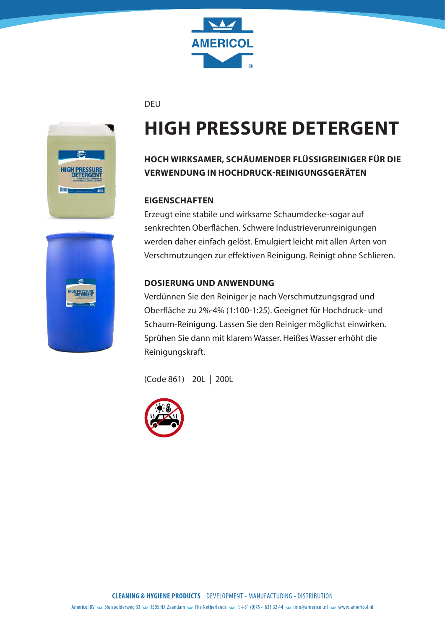

DEU



# **HIGH PRESSURE DETERGENT**

## **HOCH WIRKSAMER, SCHÄUMENDER FLÜSSIGREINIGER FÜR DIE VERWENDUNG IN HOCHDRUCK-REINIGUNGSGERÄTEN**

#### **EIGENSCHAFTEN**

Erzeugt eine stabile und wirksame Schaumdecke-sogar auf senkrechten Oberflächen. Schwere Industrieverunreinigungen werden daher einfach gelöst. Emulgiert leicht mit allen Arten von Verschmutzungen zur effektiven Reinigung. Reinigt ohne Schlieren.

#### **DOSIERUNG UND ANWENDUNG**

Verdünnen Sie den Reiniger je nach Verschmutzungsgrad und Oberfläche zu 2%-4% (1:100-1:25). Geeignet für Hochdruck- und Schaum-Reinigung. Lassen Sie den Reiniger möglichst einwirken. Sprühen Sie dann mit klarem Wasser. Heißes Wasser erhöht die Reinigungskraft.



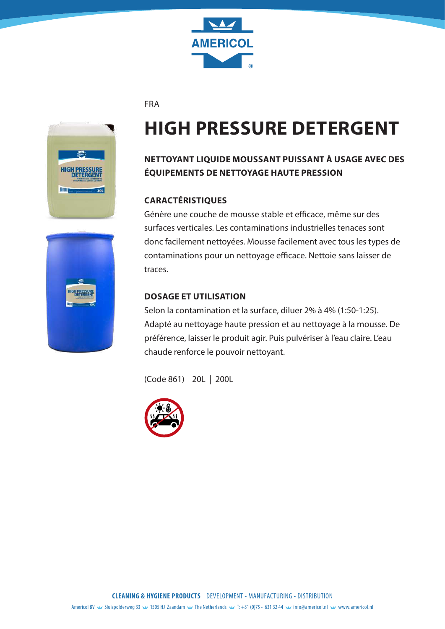

FRA



# **HIGH PRESSURE DETERGENT**

## **NETTOYANT LIQUIDE MOUSSANT PUISSANT À USAGE AVEC DES ÉQUIPEMENTS DE NETTOYAGE HAUTE PRESSION**

### **CARACTÉRISTIQUES**

Génère une couche de mousse stable et efficace, même sur des surfaces verticales. Les contaminations industrielles tenaces sont donc facilement nettoyées. Mousse facilement avec tous les types de contaminations pour un nettoyage efficace. Nettoie sans laisser de traces.

### **DOSAGE ET UTILISATION**

Selon la contamination et la surface, diluer 2% à 4% (1:50-1:25). Adapté au nettoyage haute pression et au nettoyage à la mousse. De préférence, laisser le produit agir. Puis pulvériser à l'eau claire. L'eau chaude renforce le pouvoir nettoyant.



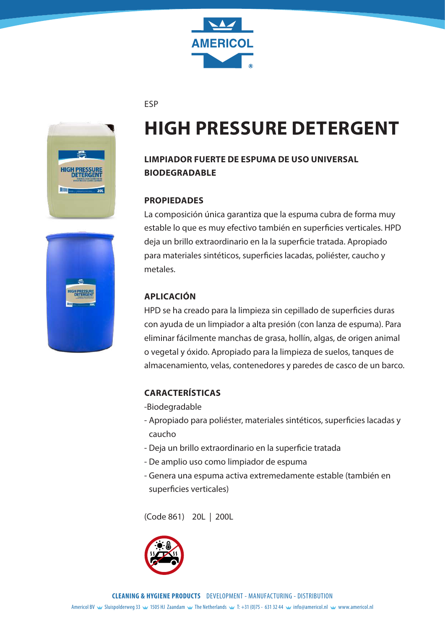

#### ESP



## **HIGH PRESSURE DETERGENT**

### **LIMPIADOR FUERTE DE ESPUMA DE USO UNIVERSAL BIODEGRADABLE**

#### **PROPIEDADES**

La composición única garantiza que la espuma cubra de forma muy estable lo que es muy efectivo también en superficies verticales. HPD deja un brillo extraordinario en la la superficie tratada. Apropiado para materiales sintéticos, superficies lacadas, poliéster, caucho y metales.

#### **APLICACIÓN**

HPD se ha creado para la limpieza sin cepillado de superficies duras con ayuda de un limpiador a alta presión (con lanza de espuma). Para eliminar fácilmente manchas de grasa, hollín, algas, de origen animal o vegetal y óxido. Apropiado para la limpieza de suelos, tanques de almacenamiento, velas, contenedores y paredes de casco de un barco.

#### **CARACTERÍSTICAS**

- -Biodegradable
- Apropiado para poliéster, materiales sintéticos, superficies lacadas y caucho
- Deja un brillo extraordinario en la superficie tratada
- De amplio uso como limpiador de espuma
- Genera una espuma activa extremedamente estable (también en superficies verticales)



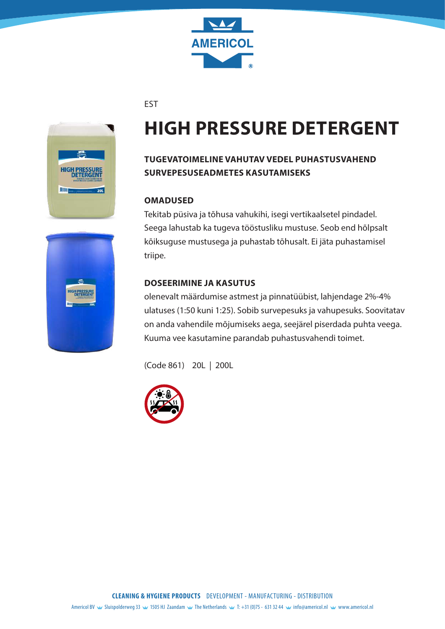

EST



# **HIGH PRESSURE DETERGENT**

## **TUGEVATOIMELINE VAHUTAV VEDEL PUHASTUSVAHEND SURVEPESUSEADMETES KASUTAMISEKS**

#### **OMADUSED**

Tekitab püsiva ja tõhusa vahukihi, isegi vertikaalsetel pindadel. Seega lahustab ka tugeva tööstusliku mustuse. Seob end hõlpsalt kõiksuguse mustusega ja puhastab tõhusalt. Ei jäta puhastamisel triipe.

### **DOSEERIMINE JA KASUTUS**

olenevalt määrdumise astmest ja pinnatüübist, lahjendage 2%-4% ulatuses (1:50 kuni 1:25). Sobib survepesuks ja vahupesuks. Soovitatav on anda vahendile mõjumiseks aega, seejärel piserdada puhta veega. Kuuma vee kasutamine parandab puhastusvahendi toimet.



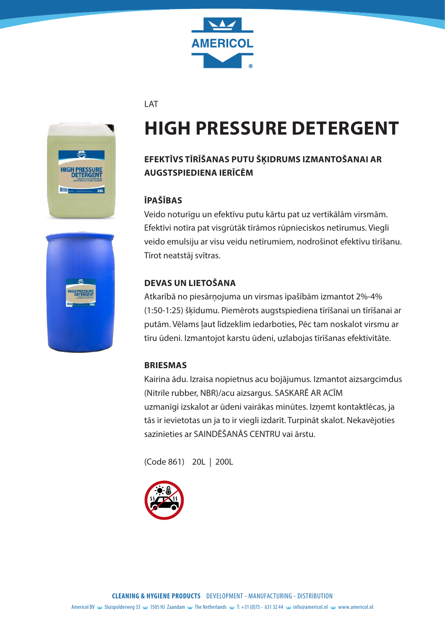

LAT



# **HIGH PRESSURE DETERGENT**

## **EFEKTĪVS TĪRĪŠANAS PUTU ŠĶIDRUMS IZMANTOŠANAI AR AUGSTSPIEDIENA IERĪCĒM**

### **ĪPAŠĪBAS**

Veido noturīgu un efektīvu putu kārtu pat uz vertikālām virsmām. Efektīvi notīra pat visgrūtāk tīrāmos rūpnieciskos netīrumus. Viegli veido emulsiju ar visu veidu netīrumiem, nodrošinot efektīvu tīrīšanu. Tīrot neatstāj svītras.

### **DEVAS UN LIETOŠANA**

Atkarībā no piesārņojuma un virsmas īpašībām izmantot 2%-4% (1:50-1:25) šķīdumu. Piemērots augstspiediena tīrīšanai un tīrīšanai ar putām. Vēlams ļaut līdzeklim iedarboties, Pēc tam noskalot virsmu ar tīru ūdeni. Izmantojot karstu ūdeni, uzlabojas tīrīšanas efektivitāte.

### **BRIESMAS**

Kairina ādu. Izraisa nopietnus acu bojājumus. Izmantot aizsargcimdus (Nitrile rubber, NBR)/acu aizsargus. SASKARĒ AR ACĪM uzmanīgi izskalot ar ūdeni vairākas minūtes. Izņemt kontaktlēcas, ja tās ir ievietotas un ja to ir viegli izdarīt. Turpināt skalot. Nekavējoties sazinieties ar SAINDĒŠANĀS CENTRU vai ārstu.



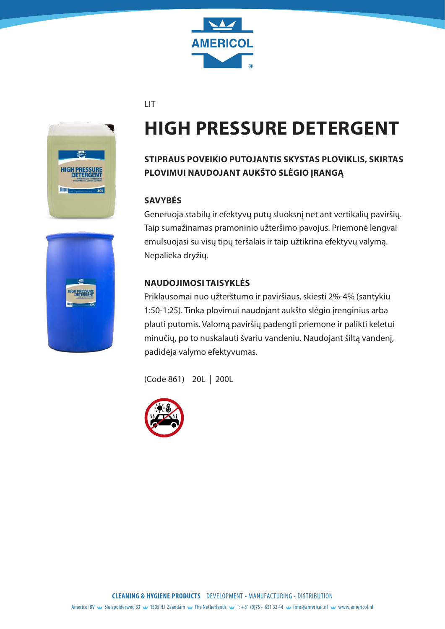

#### LIT



# **HIGH PRESSURE DETERGENT**

## **STIPRAUS POVEIKIO PUTOJANTIS SKYSTAS PLOVIKLIS, SKIRTAS PLOVIMUI NAUDOJANT AUKŠTO SLĖGIO ĮRANGĄ**

#### **SAVYBĖS**

Generuoja stabilų ir efektyvų putų sluoksnį net ant vertikalių paviršių. Taip sumažinamas pramoninio užteršimo pavojus. Priemonė lengvai emulsuojasi su visų tipų teršalais ir taip užtikrina efektyvų valymą. Nepalieka dryžių.

#### **NAUDOJIMOSI TAISYKLĖS**

Priklausomai nuo užterštumo ir paviršiaus, skiesti 2%-4% (santykiu 1:50-1:25). Tinka plovimui naudojant aukšto slėgio įrenginius arba plauti putomis. Valomą paviršių padengti priemone ir palikti keletui minučių, po to nuskalauti švariu vandeniu. Naudojant šiltą vandenį, padidėja valymo efektyvumas.



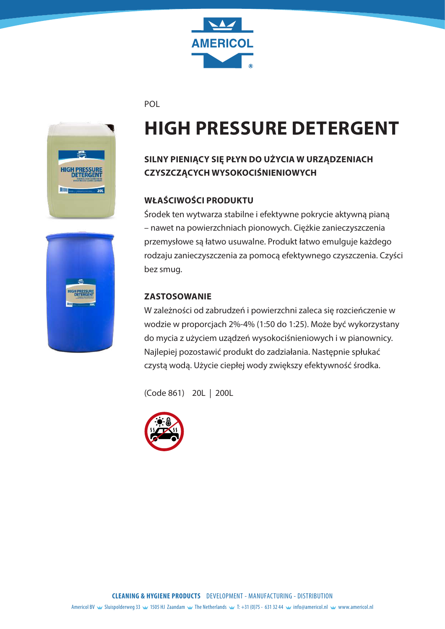

POL



# **HIGH PRESSURE DETERGENT**

## **SILNY PIENIĄCY SIĘ PŁYN DO UŻYCIA W URZĄDZENIACH CZYSZCZĄCYCH WYSOKOCIŚNIENIOWYCH**

### **WŁAŚCIWOŚCI PRODUKTU**

Środek ten wytwarza stabilne i efektywne pokrycie aktywną pianą – nawet na powierzchniach pionowych. Ciężkie zanieczyszczenia przemysłowe są łatwo usuwalne. Produkt łatwo emulguje każdego rodzaju zanieczyszczenia za pomocą efektywnego czyszczenia. Czyści

### **ZASTOSOWANIE**

W zależności od zabrudzeń i powierzchni zaleca się rozcieńczenie w wodzie w proporcjach 2%-4% (1:50 do 1:25). Może być wykorzystany do mycia z użyciem uządzeń wysokociśnieniowych i w pianownicy. Najlepiej pozostawić produkt do zadziałania. Następnie spłukać czystą wodą. Użycie ciepłej wody zwiększy efektywność środka.



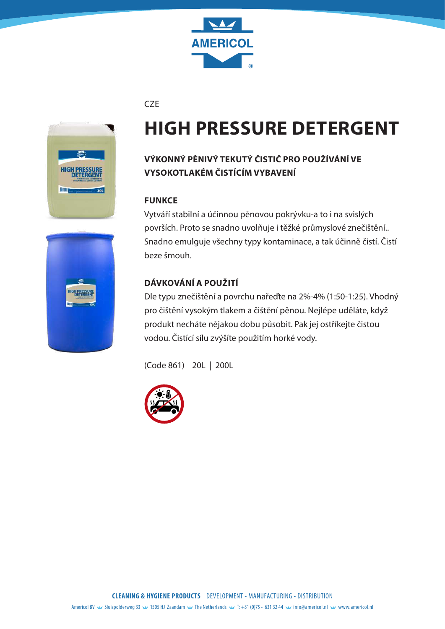

**CZE** 



# **HIGH PRESSURE DETERGENT**

## **VÝKONNÝ PĚNIVÝ TEKUTÝ ČISTIČ PRO POUŽÍVÁNÍ VE VYSOKOTLAKÉM ČISTÍCÍM VYBAVENÍ**

#### **FUNKCE**

Vytváří stabilní a účinnou pěnovou pokrývku-a to i na svislých površích. Proto se snadno uvolňuje i těžké průmyslové znečištění.. Snadno emulguje všechny typy kontaminace, a tak účinně čistí. Čistí beze šmouh.

### **DÁVKOVÁNÍ A POUŽITÍ**

Dle typu znečištění a povrchu nařeďte na 2%-4% (1:50-1:25). Vhodný pro čištění vysokým tlakem a čištění pěnou. Nejlépe uděláte, když produkt necháte nějakou dobu působit. Pak jej ostříkejte čistou vodou. Čistící sílu zvýšíte použitím horké vody.



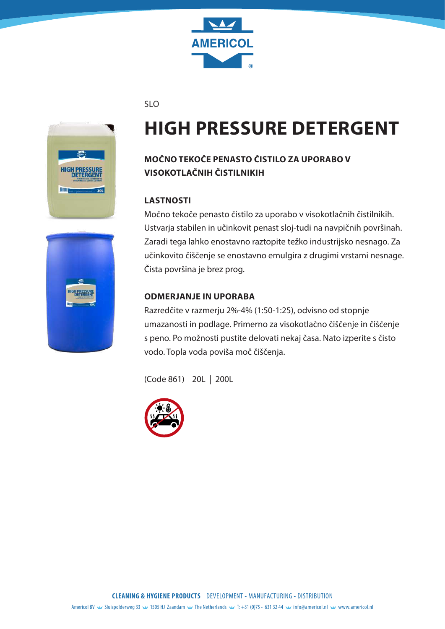

#### SLO



# **HIGH PRESSURE DETERGENT**

## **MOČNO TEKOČE PENASTO ČISTILO ZA UPORABO V VISOKOTLAČNIH ČISTILNIKIH**

#### **LASTNOSTI**

Močno tekoče penasto čistilo za uporabo v visokotlačnih čistilnikih. Ustvarja stabilen in učinkovit penast sloj-tudi na navpičnih površinah. Zaradi tega lahko enostavno raztopite težko industrijsko nesnago. Za učinkovito čiščenje se enostavno emulgira z drugimi vrstami nesnage. Čista površina je brez prog.

#### **ODMERJANJE IN UPORABA**

Razredčite v razmerju 2%-4% (1:50-1:25), odvisno od stopnje umazanosti in podlage. Primerno za visokotlačno čiščenje in čiščenje s peno. Po možnosti pustite delovati nekaj časa. Nato izperite s čisto vodo. Topla voda poviša moč čiščenja.



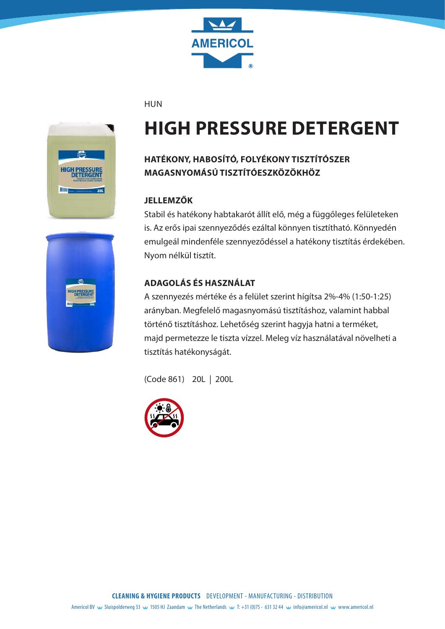

#### HUN



# **HIGH PRESSURE DETERGENT**

## **HATÉKONY, HABOSÍTÓ, FOLYÉKONY TISZTÍTÓSZER MAGASNYOMÁSÚ TISZTÍTÓESZKÖZÖKHÖZ**

#### **JELLEMZŐK**

Stabil és hatékony habtakarót állít elő, még a függőleges felületeken is. Az erős ipai szennyeződés ezáltal könnyen tisztítható. Könnyedén emulgeál mindenféle szennyeződéssel a hatékony tisztítás érdekében. Nyom nélkül tisztít.

### **ADAGOLÁS ÉS HASZNÁLAT**

A szennyezés mértéke és a felület szerint hígítsa 2%-4% (1:50-1:25) arányban. Megfelelő magasnyomású tisztításhoz, valamint habbal történő tisztításhoz. Lehetőség szerint hagyja hatni a terméket, majd permetezze le tiszta vízzel. Meleg víz használatával növelheti a tisztítás hatékonyságát.



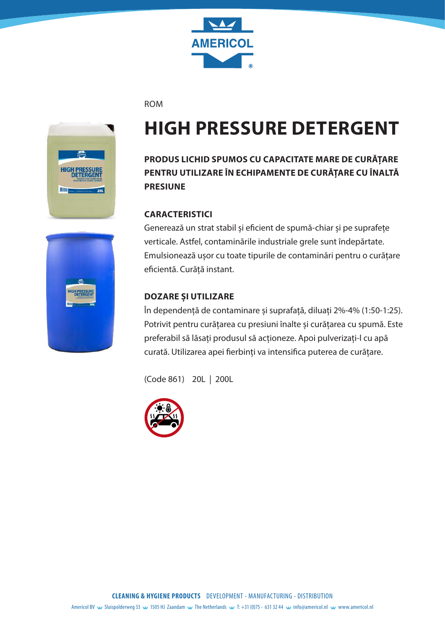

#### ROM



## **HIGH PRESSURE DETERGENT**

## **PRODUS LICHID SPUMOS CU CAPACITATE MARE DE CURĂȚARE PENTRU UTILIZARE ÎN ECHIPAMENTE DE CURĂȚARE CU ÎNALTĂ PRESIUNE**

#### **CARACTERISTICI**

Generează un strat stabil și eficient de spumă-chiar și pe suprafețe verticale. Astfel, contaminările industriale grele sunt îndepărtate. Emulsionează ușor cu toate tipurile de contaminări pentru o curățare eficientă. Curăță instant.

#### **DOZARE ȘI UTILIZARE**

În dependență de contaminare și suprafață, diluați 2%-4% (1:50-1:25). Potrivit pentru curățarea cu presiuni înalte și curățarea cu spumă. Este preferabil să lăsați produsul să acționeze. Apoi pulverizați-l cu apă curată. Utilizarea apei fierbinți va intensifica puterea de curățare.



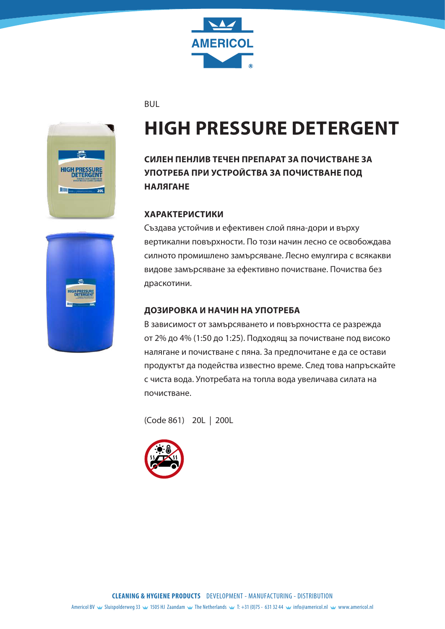

BUL



# **HIGH PRESSURE DETERGENT**

## **СИЛЕН ПЕНЛИВ ТЕЧЕН ПРЕПАРАТ ЗА ПОЧИСТВАНЕ ЗА УПОТРЕБА ПРИ УСТРОЙСТВА ЗА ПОЧИСТВАНЕ ПОД НАЛЯГАНЕ**

#### **ХАРАКТЕРИСТИКИ**

Създава устойчив и ефективен слой пяна-дори и върху вертикални повърхности. По този начин лесно се освобождава силното промишлено замърсяване. Лесно емулгира с всякакви видове замърсяване за ефективно почистване. Почиства без драскотини.

#### **ДОЗИРОВКА И НАЧИН НА УПОТРЕБА**

В зависимост от замърсяването и повърхността се разрежда от 2% до 4% (1:50 до 1:25). Подходящ за почистване под високо налягане и почистване с пяна. За предпочитане е да се остави продуктът да подейства известно време. След това напръскайте с чиста вода. Употребата на топла вода увеличава силата на почистване.

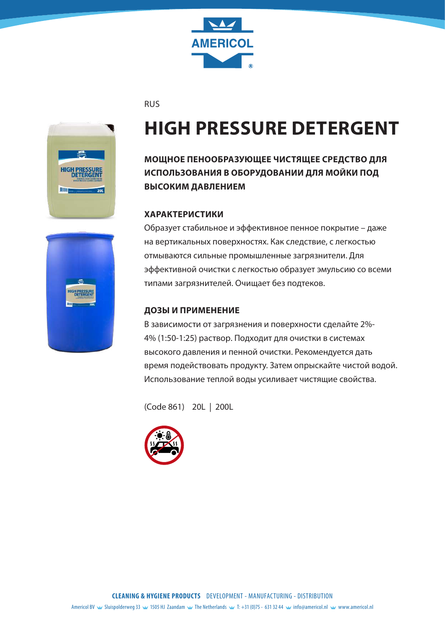

RUS



# **HIGH PRESSURE DETERGENT**

**МОЩНОЕ ПЕНООБРАЗУЮЩЕЕ ЧИСТЯЩЕЕ СРЕДСТВО ДЛЯ ИСПОЛЬЗОВАНИЯ В ОБОРУДОВАНИИ ДЛЯ МОЙКИ ПОД ВЫСОКИМ ДАВЛЕНИЕМ**

#### **ХАРАКТЕРИСТИКИ**

Образует стабильное и эффективное пенное покрытие – даже на вертикальных поверхностях. Как следствие, с легкостью отмываются сильные промышленные загрязнители. Для эффективной очистки с легкостью образует эмульсию со всеми типами загрязнителей. Очищает без подтеков.

#### **ДОЗЫ И ПРИМЕНЕНИЕ**

В зависимости от загрязнения и поверхности сделайте 2%- 4% (1:50-1:25) раствор. Подходит для очистки в системах высокого давления и пенной очистки. Рекомендуется дать время подействовать продукту. Затем опрыскайте чистой водой. Использование теплой воды усиливает чистящие свойства.



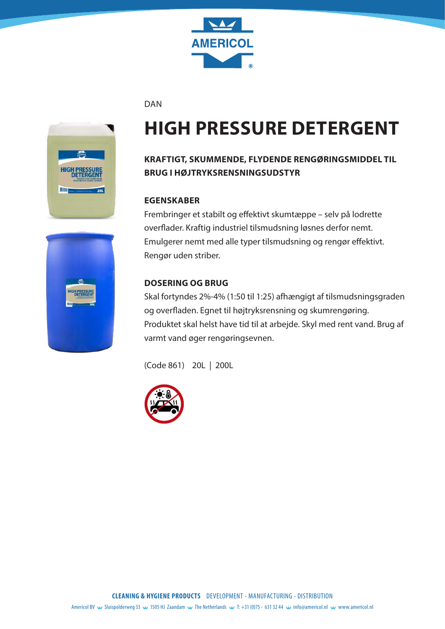

DAN



# **HIGH PRESSURE DETERGENT**

## **KRAFTIGT, SKUMMENDE, FLYDENDE RENGØRINGSMIDDEL TIL BRUG I HØJTRYKSRENSNINGSUDSTYR**

#### **EGENSKABER**

Frembringer et stabilt og effektivt skumtæppe – selv på lodrette overflader. Kraftig industriel tilsmudsning løsnes derfor nemt. Emulgerer nemt med alle typer tilsmudsning og rengør effektivt. Rengør uden striber.

### **DOSERING OG BRUG**

Skal fortyndes 2%-4% (1:50 til 1:25) afhængigt af tilsmudsningsgraden og overfladen. Egnet til højtryksrensning og skumrengøring. Produktet skal helst have tid til at arbejde. Skyl med rent vand. Brug af varmt vand øger rengøringsevnen.





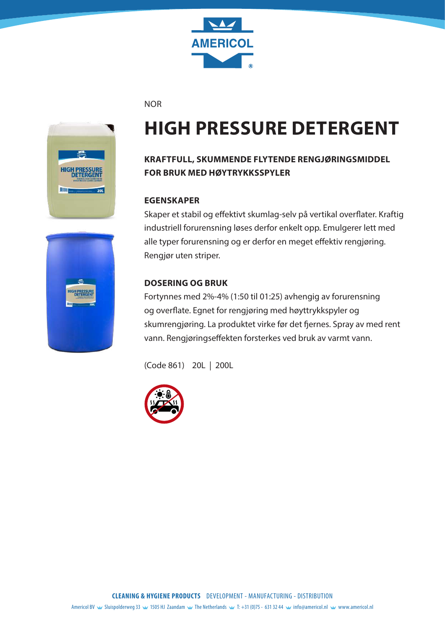

NOR



# **HIGH PRESSURE DETERGENT**

### **KRAFTFULL, SKUMMENDE FLYTENDE RENGJØRINGSMIDDEL FOR BRUK MED HØYTRYKKSSPYLER**

#### **EGENSKAPER**

Skaper et stabil og effektivt skumlag-selv på vertikal overflater. Kraftig industriell forurensning løses derfor enkelt opp. Emulgerer lett med alle typer forurensning og er derfor en meget effektiv rengjøring. Rengjør uten striper.

#### **DOSERING OG BRUK**

Fortynnes med 2%-4% (1:50 til 01:25) avhengig av forurensning og overflate. Egnet for rengjøring med høyttrykkspyler og skumrengjøring. La produktet virke før det fjernes. Spray av med rent vann. Rengjøringseffekten forsterkes ved bruk av varmt vann.



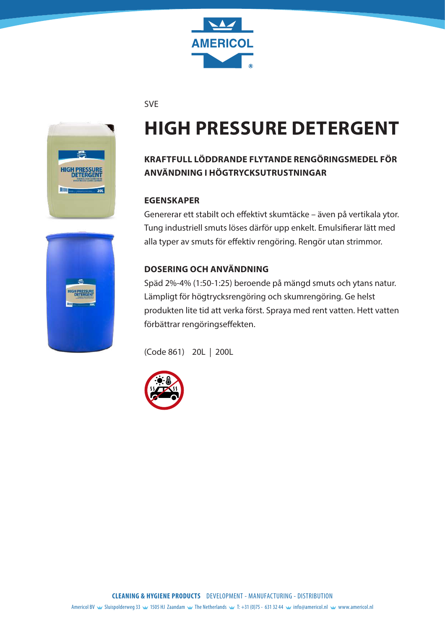

SVE



# **HIGH PRESSURE DETERGENT**

## **KRAFTFULL LÖDDRANDE FLYTANDE RENGÖRINGSMEDEL FÖR ANVÄNDNING I HÖGTRYCKSUTRUSTNINGAR**

#### **EGENSKAPER**

Genererar ett stabilt och effektivt skumtäcke – även på vertikala ytor. Tung industriell smuts löses därför upp enkelt. Emulsifierar lätt med alla typer av smuts för effektiv rengöring. Rengör utan strimmor.

### **DOSERING OCH ANVÄNDNING**

Späd 2%-4% (1:50-1:25) beroende på mängd smuts och ytans natur. Lämpligt för högtrycksrengöring och skumrengöring. Ge helst produkten lite tid att verka först. Spraya med rent vatten. Hett vatten förbättrar rengöringseffekten.



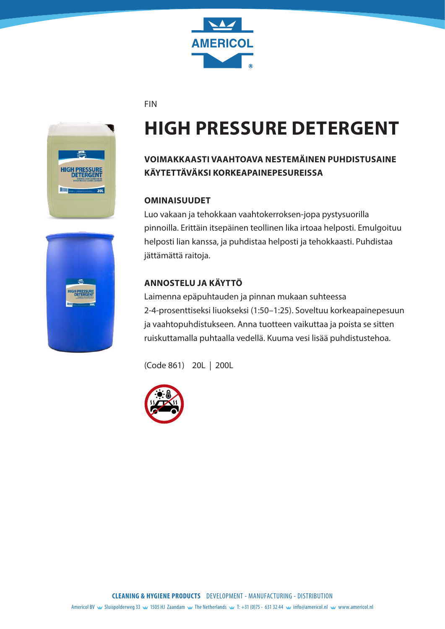

FIN



# **HIGH PRESSURE DETERGENT**

## **VOIMAKKAASTI VAAHTOAVA NESTEMÄINEN PUHDISTUSAINE KÄYTETTÄVÄKSI KORKEAPAINEPESUREISSA**

#### **OMINAISUUDET**

Luo vakaan ja tehokkaan vaahtokerroksen-jopa pystysuorilla pinnoilla. Erittäin itsepäinen teollinen lika irtoaa helposti. Emulgoituu helposti lian kanssa, ja puhdistaa helposti ja tehokkaasti. Puhdistaa jättämättä raitoja.

### **ANNOSTELU JA KÄYTTÖ**

Laimenna epäpuhtauden ja pinnan mukaan suhteessa 2-4-prosenttiseksi liuokseksi (1:50–1:25). Soveltuu korkeapainepesuun ja vaahtopuhdistukseen. Anna tuotteen vaikuttaa ja poista se sitten ruiskuttamalla puhtaalla vedellä. Kuuma vesi lisää puhdistustehoa.



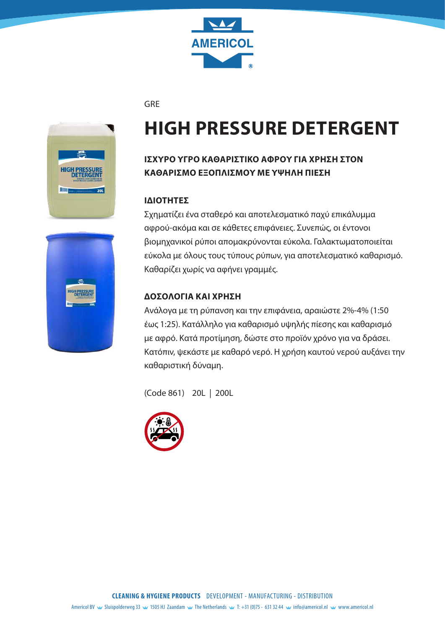

GRE



# **HIGH PRESSURE DETERGENT**

## **ΙΣΧΥΡΌ ΥΓΡΌ ΚΑΘΑΡΙΣΤΙΚΌ ΑΦΡΟΎ ΓΙΑ ΧΡΉΣΗ ΣΤΟΝ ΚΑΘΑΡΙΣΜΌ ΕΞΟΠΛΙΣΜΟΎ ΜΕ ΥΨΗΛΉ ΠΙΕΣΗ**

#### **ΙΔΙΌΤΗΤΕΣ**

Σχηματίζει ένα σταθερό και αποτελεσματικό παχύ επικάλυμμα αφρού-ακόμα και σε κάθετες επιφάνειες. Συνεπώς, οι έντονοι βιομηχανικοί ρύποι απομακρύνονται εύκολα. Γαλακτωματοποιείται εύκολα με όλους τους τύπους ρύπων, για αποτελεσματικό καθαρισμό. Καθαρίζει χωρίς να αφήνει γραμμές.

#### **∆ΟΣΟΛΟΓΙΑ ΚΑΙ ΧΡΉΣΗ**

Ανάλογα με τη ρύπανση και την επιφάνεια, αραιώστε 2%-4% (1:50 έως 1:25). Κατάλληλο για καθαρισμό υψηλής πίεσης και καθαρισμό με αφρό. Κατά προτίμηση, δώστε στο προϊόν χρόνο για να δράσει. Κατόπιν, ψεκάστε με καθαρό νερό. Η χρήση καυτού νερού αυξάνει την καθαριστική δύναμη.